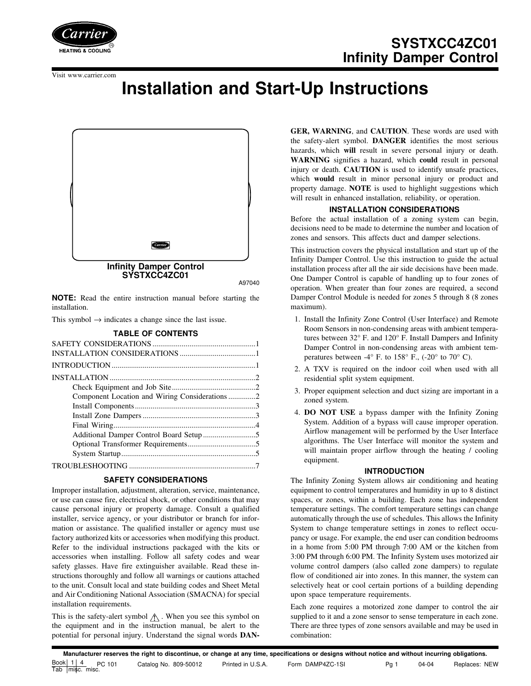

Visit www.carrier.com

# **Installation and Start-Up Instructions**



A97040

**NOTE:** Read the entire instruction manual before starting the installation.

This symbol  $\rightarrow$  indicates a change since the last issue.

#### **TABLE OF CONTENTS**

| Component Location and Wiring Considerations 2 |  |
|------------------------------------------------|--|
|                                                |  |
|                                                |  |
|                                                |  |
|                                                |  |
|                                                |  |
|                                                |  |
|                                                |  |

# **SAFETY CONSIDERATIONS**

Improper installation, adjustment, alteration, service, maintenance, or use can cause fire, electrical shock, or other conditions that may cause personal injury or property damage. Consult a qualified installer, service agency, or your distributor or branch for information or assistance. The qualified installer or agency must use factory authorized kits or accessories when modifying this product. Refer to the individual instructions packaged with the kits or accessories when installing. Follow all safety codes and wear safety glasses. Have fire extinguisher available. Read these instructions thoroughly and follow all warnings or cautions attached to the unit. Consult local and state building codes and Sheet Metal and Air Conditioning National Association (SMACNA) for special installation requirements.

This is the safety-alert symbol  $\Lambda$ . When you see this symbol on the equipment and in the instruction manual, be alert to the potential for personal injury. Understand the signal words **DAN-** **GER, WARNING**, and **CAUTION**. These words are used with the safety-alert symbol. **DANGER** identifies the most serious hazards, which **will** result in severe personal injury or death. **WARNING** signifies a hazard, which **could** result in personal injury or death. **CAUTION** is used to identify unsafe practices, which **would** result in minor personal injury or product and property damage. **NOTE** is used to highlight suggestions which will result in enhanced installation, reliability, or operation.

# **INSTALLATION CONSIDERATIONS**

Before the actual installation of a zoning system can begin, decisions need to be made to determine the number and location of zones and sensors. This affects duct and damper selections.

This instruction covers the physical installation and start up of the Infinity Damper Control. Use this instruction to guide the actual installation process after all the air side decisions have been made. One Damper Control is capable of handling up to four zones of operation. When greater than four zones are required, a second Damper Control Module is needed for zones 5 through 8 (8 zones maximum).

- 1. Install the Infinity Zone Control (User Interface) and Remote Room Sensors in non-condensing areas with ambient temperatures between 32° F. and 120° F. Install Dampers and Infinity Damper Control in non-condensing areas with ambient temperatures between -4 $\textdegree$  F. to 158 $\textdegree$  F., (-20 $\textdegree$  to 70 $\textdegree$  C).
- 2. A TXV is required on the indoor coil when used with all residential split system equipment.
- 3. Proper equipment selection and duct sizing are important in a zoned system.
- 4. **DO NOT USE** a bypass damper with the Infinity Zoning System. Addition of a bypass will cause improper operation. Airflow management will be performed by the User Interface algorithms. The User Interface will monitor the system and will maintain proper airflow through the heating / cooling equipment.

#### **INTRODUCTION**

The Infinity Zoning System allows air conditioning and heating equipment to control temperatures and humidity in up to 8 distinct spaces, or zones, within a building. Each zone has independent temperature settings. The comfort temperature settings can change automatically through the use of schedules. This allows the Infinity System to change temperature settings in zones to reflect occupancy or usage. For example, the end user can condition bedrooms in a home from 5:00 PM through 7:00 AM or the kitchen from 3:00 PM through 6:00 PM. The Infinity System uses motorized air volume control dampers (also called zone dampers) to regulate flow of conditioned air into zones. In this manner, the system can selectively heat or cool certain portions of a building depending upon space temperature requirements.

Each zone requires a motorized zone damper to control the air supplied to it and a zone sensor to sense temperature in each zone. There are three types of zone sensors available and may be used in combination: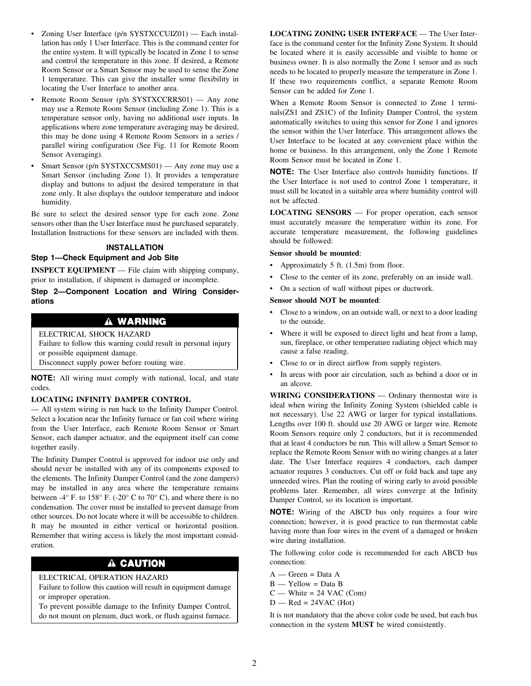- Zoning User Interface (p/n SYSTXCCUIZ01) Each installation has only 1 User Interface. This is the command center for the entire system. It will typically be located in Zone 1 to sense and control the temperature in this zone. If desired, a Remote Room Sensor or a Smart Sensor may be used to sense the Zone 1 temperature. This can give the installer some flexibility in locating the User Interface to another area.
- Remote Room Sensor (p/n SYSTXCCRRS01) Any zone may use a Remote Room Sensor (including Zone 1). This is a temperature sensor only, having no additional user inputs. In applications where zone temperature averaging may be desired, this may be done using 4 Remote Room Sensors in a series / parallel wiring configuration (See Fig. 11 for Remote Room Sensor Averaging).
- Smart Sensor (p/n SYSTXCCSMS01) Any zone may use a Smart Sensor (including Zone 1). It provides a temperature display and buttons to adjust the desired temperature in that zone only. It also displays the outdoor temperature and indoor humidity.

Be sure to select the desired sensor type for each zone. Zone sensors other than the User Interface must be purchased separately. Installation Instructions for these sensors are included with them.

# **INSTALLATION**

## **Step 1—Check Equipment and Job Site**

**INSPECT EQUIPMENT** — File claim with shipping company, prior to installation, if shipment is damaged or incomplete.

**Step 2—Component Location and Wiring Considerations**

# A WARNING

# ELECTRICAL SHOCK HAZARD

Failure to follow this warning could result in personal injury or possible equipment damage.

Disconnect supply power before routing wire.

**NOTE:** All wiring must comply with national, local, and state codes.

## **LOCATING INFINITY DAMPER CONTROL**

— All system wiring is run back to the Infinity Damper Control. Select a location near the Infinity furnace or fan coil where wiring from the User Interface, each Remote Room Sensor or Smart Sensor, each damper actuator, and the equipment itself can come together easily.

The Infinity Damper Control is approved for indoor use only and should never be installed with any of its components exposed to the elements. The Infinity Damper Control (and the zone dampers) may be installed in any area where the temperature remains between -4 $\degree$  F. to 158 $\degree$  F. (-20 $\degree$  C to 70 $\degree$  C), and where there is no condensation. The cover must be installed to prevent damage from other sources. Do not locate where it will be accessible to children. It may be mounted in either vertical or horizontal position. Remember that wiring access is likely the most important consideration.

# A CAUTION

# ELECTRICAL OPERATION HAZARD

Failure to follow this caution will result in equipment damage or improper operation.

To prevent possible damage to the Infinity Damper Control, do not mount on plenum, duct work, or flush against furnace. **LOCATING ZONING USER INTERFACE** — The User Interface is the command center for the Infinity Zone System. It should be located where it is easily accessible and visible to home or business owner. It is also normally the Zone 1 sensor and as such needs to be located to properly measure the temperature in Zone 1. If these two requirements conflict, a separate Remote Room Sensor can be added for Zone 1.

When a Remote Room Sensor is connected to Zone 1 terminals(ZS1 and ZS1C) of the Infinity Damper Control, the system automatically switches to using this sensor for Zone 1 and ignores the sensor within the User Interface. This arrangement allows the User Interface to be located at any convenient place within the home or business. In this arrangement, only the Zone 1 Remote Room Sensor must be located in Zone 1.

**NOTE:** The User Interface also controls humidity functions. If the User Interface is not used to control Zone 1 temperature, it must still be located in a suitable area where humidity control will not be affected.

**LOCATING SENSORS** — For proper operation, each sensor must accurately measure the temperature within its zone. For accurate temperature measurement, the following guidelines should be followed:

#### **Sensor should be mounted**:

- Approximately 5 ft. (1.5m) from floor.
- Close to the center of its zone, preferably on an inside wall.
- On a section of wall without pipes or ductwork.

# **Sensor should NOT be mounted**:

- Close to a window, on an outside wall, or next to a door leading to the outside.
- Where it will be exposed to direct light and heat from a lamp, sun, fireplace, or other temperature radiating object which may cause a false reading.
- Close to or in direct airflow from supply registers.
- In areas with poor air circulation, such as behind a door or in an alcove.

**WIRING CONSIDERATIONS** — Ordinary thermostat wire is ideal when wiring the Infinity Zoning System (shielded cable is not necessary). Use 22 AWG or larger for typical installations. Lengths over 100 ft. should use 20 AWG or larger wire. Remote Room Sensors require only 2 conductors, but it is recommended that at least 4 conductors be run. This will allow a Smart Sensor to replace the Remote Room Sensor with no wiring changes at a later date. The User Interface requires 4 conductors, each damper actuator requires 3 conductors. Cut off or fold back and tape any unneeded wires. Plan the routing of wiring early to avoid possible problems later. Remember, all wires converge at the Infinity Damper Control, so its location is important.

**NOTE:** Wiring of the ABCD bus only requires a four wire connection; however, it is good practice to run thermostat cable having more than four wires in the event of a damaged or broken wire during installation.

The following color code is recommended for each ABCD bus connection:

- $A Green = Data A$
- $B Y$ ellow = Data B
- $C$  White = 24 VAC (Com)
- $D$  Red = 24VAC (Hot)

It is not mandatory that the above color code be used, but each bus connection in the system **MUST** be wired consistently.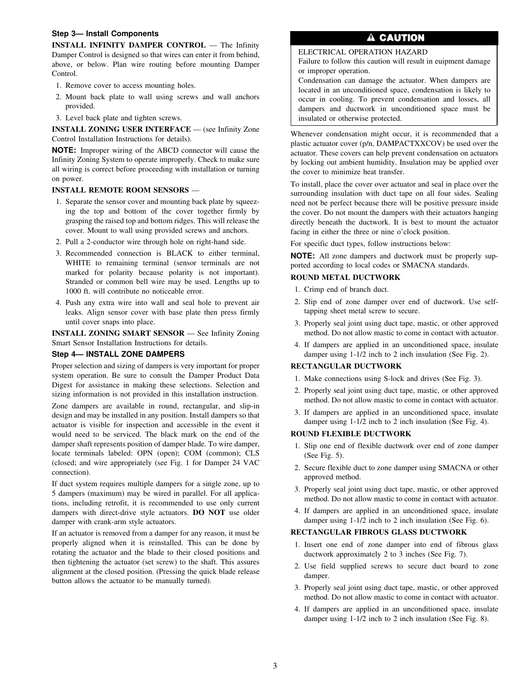## **Step 3— Install Components**

**INSTALL INFINITY DAMPER CONTROL** — The Infinity Damper Control is designed so that wires can enter it from behind, above, or below. Plan wire routing before mounting Damper Control.

- 1. Remove cover to access mounting holes.
- 2. Mount back plate to wall using screws and wall anchors provided.
- 3. Level back plate and tighten screws.

**INSTALL ZONING USER INTERFACE** — (see Infinity Zone Control Installation Instructions for details).

**NOTE:** Improper wiring of the ABCD connector will cause the Infinity Zoning System to operate improperly. Check to make sure all wiring is correct before proceeding with installation or turning on power.

## **INSTALL REMOTE ROOM SENSORS** —

- 1. Separate the sensor cover and mounting back plate by squeezing the top and bottom of the cover together firmly by grasping the raised top and bottom ridges. This will release the cover. Mount to wall using provided screws and anchors.
- 2. Pull a 2-conductor wire through hole on right-hand side.
- 3. Recommended connection is BLACK to either terminal, WHITE to remaining terminal (sensor terminals are not marked for polarity because polarity is not important). Stranded or common bell wire may be used. Lengths up to 1000 ft. will contribute no noticeable error.
- 4. Push any extra wire into wall and seal hole to prevent air leaks. Align sensor cover with base plate then press firmly until cover snaps into place.

**INSTALL ZONING SMART SENSOR** — See Infinity Zoning Smart Sensor Installation Instructions for details.

#### **Step 4— INSTALL ZONE DAMPERS**

Proper selection and sizing of dampers is very important for proper system operation. Be sure to consult the Damper Product Data Digest for assistance in making these selections. Selection and sizing information is not provided in this installation instruction.

Zone dampers are available in round, rectangular, and slip-in design and may be installed in any position. Install dampers so that actuator is visible for inspection and accessible in the event it would need to be serviced. The black mark on the end of the damper shaft represents position of damper blade. To wire damper, locate terminals labeled: OPN (open); COM (common); CLS (closed; and wire appropriately (see Fig. 1 for Damper 24 VAC connection).

If duct system requires multiple dampers for a single zone, up to 5 dampers (maximum) may be wired in parallel. For all applications, including retrofit, it is recommended to use only current dampers with direct-drive style actuators. **DO NOT** use older damper with crank-arm style actuators.

If an actuator is removed from a damper for any reason, it must be properly aligned when it is reinstalled. This can be done by rotating the actuator and the blade to their closed positions and then tightening the actuator (set screw) to the shaft. This assures alignment at the closed position. (Pressing the quick blade release button allows the actuator to be manually turned).

# A CAUTION

# ELECTRICAL OPERATION HAZARD

Failure to follow this caution will result in euipment damage or improper operation.

Condensation can damage the actuator. When dampers are located in an unconditioned space, condensation is likely to occur in cooling. To prevent condensation and losses, all dampers and ductwork in unconditioned space must be insulated or otherwise protected.

Whenever condensation might occur, it is recommended that a plastic actuator cover (p/n, DAMPACTXXCOV) be used over the actuator. These covers can help prevent condensation on actuators by locking out ambient humidity. Insulation may be applied over the cover to minimize heat transfer.

To install, place the cover over actuator and seal in place over the surrounding insulation with duct tape on all four sides. Sealing need not be perfect because there will be positive pressure inside the cover. Do not mount the dampers with their actuators hanging directly beneath the ductwork. It is best to mount the actuator facing in either the three or nine o'clock position.

For specific duct types, follow instructions below:

**NOTE:** All zone dampers and ductwork must be properly supported according to local codes or SMACNA standards.

# **ROUND METAL DUCTWORK**

- 1. Crimp end of branch duct.
- 2. Slip end of zone damper over end of ductwork. Use selftapping sheet metal screw to secure.
- 3. Properly seal joint using duct tape, mastic, or other approved method. Do not allow mastic to come in contact with actuator.
- 4. If dampers are applied in an unconditioned space, insulate damper using 1-1/2 inch to 2 inch insulation (See Fig. 2).

## **RECTANGULAR DUCTWORK**

- 1. Make connections using S-lock and drives (See Fig. 3).
- 2. Properly seal joint using duct tape, mastic, or other approved method. Do not allow mastic to come in contact with actuator.
- 3. If dampers are applied in an unconditioned space, insulate damper using 1-1/2 inch to 2 inch insulation (See Fig. 4).

#### **ROUND FLEXIBLE DUCTWORK**

- 1. Slip one end of flexible ductwork over end of zone damper (See Fig. 5).
- 2. Secure flexible duct to zone damper using SMACNA or other approved method.
- 3. Properly seal joint using duct tape, mastic, or other approved method. Do not allow mastic to come in contact with actuator.
- 4. If dampers are applied in an unconditioned space, insulate damper using 1-1/2 inch to 2 inch insulation (See Fig. 6).

#### **RECTANGULAR FIBROUS GLASS DUCTWORK**

- 1. Insert one end of zone damper into end of fibrous glass ductwork approximately 2 to 3 inches (See Fig. 7).
- 2. Use field supplied screws to secure duct board to zone damper.
- 3. Properly seal joint using duct tape, mastic, or other approved method. Do not allow mastic to come in contact with actuator.
- 4. If dampers are applied in an unconditioned space, insulate damper using 1-1/2 inch to 2 inch insulation (See Fig. 8).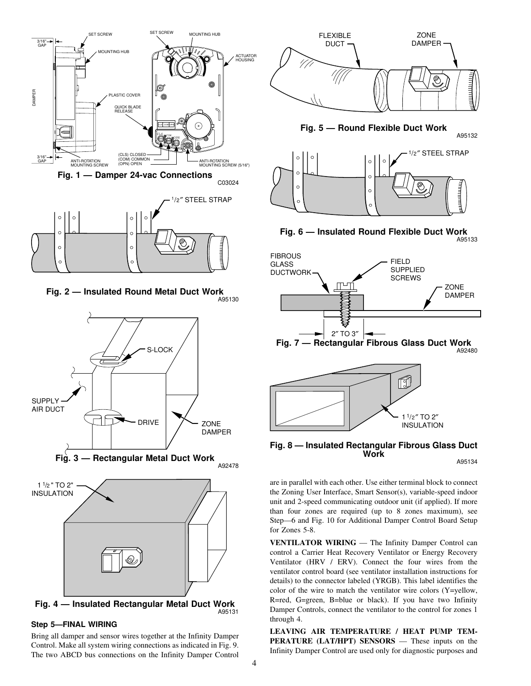

**Fig. 2 — Insulated Round Metal Duct Work** A95130



**Fig. 4 — Insulated Rectangular Metal Duct Work** A95131

## **Step 5—FINAL WIRING**

Bring all damper and sensor wires together at the Infinity Damper Control. Make all system wiring connections as indicated in Fig. 9. The two ABCD bus connections on the Infinity Damper Control



**Fig. 8 — Insulated Rectangular Fibrous Glass Duct Work**

A95134

are in parallel with each other. Use either terminal block to connect the Zoning User Interface, Smart Sensor(s), variable-speed indoor unit and 2-speed communicating outdoor unit (if applied). If more than four zones are required (up to 8 zones maximum), see Step—6 and Fig. 10 for Additional Damper Control Board Setup for Zones 5-8.

**VENTILATOR WIRING** — The Infinity Damper Control can control a Carrier Heat Recovery Ventilator or Energy Recovery Ventilator (HRV / ERV). Connect the four wires from the ventilator control board (see ventilator installation instructions for details) to the connector labeled (YRGB). This label identifies the color of the wire to match the ventilator wire colors (Y=yellow, R=red, G=green, B=blue or black). If you have two Infinity Damper Controls, connect the ventilator to the control for zones 1 through 4.

**LEAVING AIR TEMPERATURE / HEAT PUMP TEM-PERATURE (LAT/HPT) SENSORS** — These inputs on the Infinity Damper Control are used only for diagnostic purposes and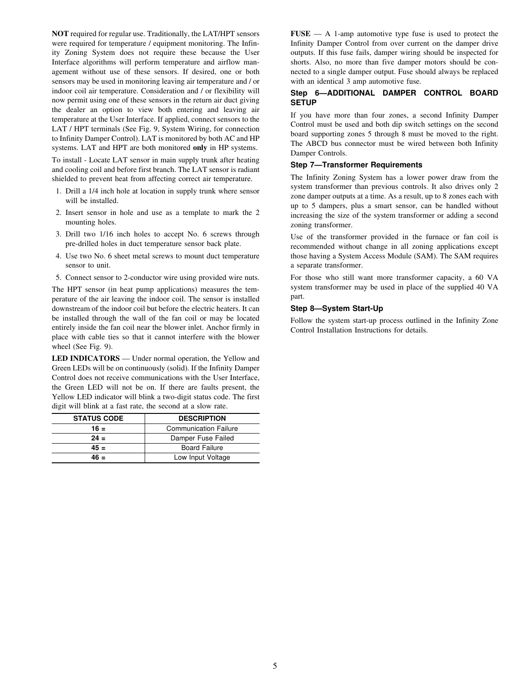**NOT** required for regular use. Traditionally, the LAT/HPT sensors were required for temperature / equipment monitoring. The Infinity Zoning System does not require these because the User Interface algorithms will perform temperature and airflow management without use of these sensors. If desired, one or both sensors may be used in monitoring leaving air temperature and / or indoor coil air temperature. Consideration and / or flexibility will now permit using one of these sensors in the return air duct giving the dealer an option to view both entering and leaving air temperature at the User Interface. If applied, connect sensors to the LAT / HPT terminals (See Fig. 9, System Wiring, for connection to Infinity Damper Control). LAT is monitored by both AC and HP systems. LAT and HPT are both monitored **only** in HP systems.

To install - Locate LAT sensor in main supply trunk after heating and cooling coil and before first branch. The LAT sensor is radiant shielded to prevent heat from affecting correct air temperature.

- 1. Drill a 1/4 inch hole at location in supply trunk where sensor will be installed.
- 2. Insert sensor in hole and use as a template to mark the 2 mounting holes.
- 3. Drill two 1/16 inch holes to accept No. 6 screws through pre-drilled holes in duct temperature sensor back plate.
- 4. Use two No. 6 sheet metal screws to mount duct temperature sensor to unit.
- 5. Connect sensor to 2-conductor wire using provided wire nuts.

The HPT sensor (in heat pump applications) measures the temperature of the air leaving the indoor coil. The sensor is installed downstream of the indoor coil but before the electric heaters. It can be installed through the wall of the fan coil or may be located entirely inside the fan coil near the blower inlet. Anchor firmly in place with cable ties so that it cannot interfere with the blower wheel (See Fig. 9).

**LED INDICATORS** — Under normal operation, the Yellow and Green LEDs will be on continuously (solid). If the Infinity Damper Control does not receive communications with the User Interface, the Green LED will not be on. If there are faults present, the Yellow LED indicator will blink a two-digit status code. The first digit will blink at a fast rate, the second at a slow rate.

| <b>STATUS CODE</b> | <b>DESCRIPTION</b>           |
|--------------------|------------------------------|
| $16 =$             | <b>Communication Failure</b> |
| $24 =$             | Damper Fuse Failed           |
| $45 =$             | <b>Board Failure</b>         |
| 46 =               | Low Input Voltage            |

**FUSE** — A 1-amp automotive type fuse is used to protect the Infinity Damper Control from over current on the damper drive outputs. If this fuse fails, damper wiring should be inspected for shorts. Also, no more than five damper motors should be connected to a single damper output. Fuse should always be replaced with an identical 3 amp automotive fuse.

# **Step 6—ADDITIONAL DAMPER CONTROL BOARD SETUP**

If you have more than four zones, a second Infinity Damper Control must be used and both dip switch settings on the second board supporting zones 5 through 8 must be moved to the right. The ABCD bus connector must be wired between both Infinity Damper Controls.

# **Step 7—Transformer Requirements**

The Infinity Zoning System has a lower power draw from the system transformer than previous controls. It also drives only 2 zone damper outputs at a time. As a result, up to 8 zones each with up to 5 dampers, plus a smart sensor, can be handled without increasing the size of the system transformer or adding a second zoning transformer.

Use of the transformer provided in the furnace or fan coil is recommended without change in all zoning applications except those having a System Access Module (SAM). The SAM requires a separate transformer.

For those who still want more transformer capacity, a 60 VA system transformer may be used in place of the supplied 40 VA part.

# **Step 8—System Start-Up**

Follow the system start-up process outlined in the Infinity Zone Control Installation Instructions for details.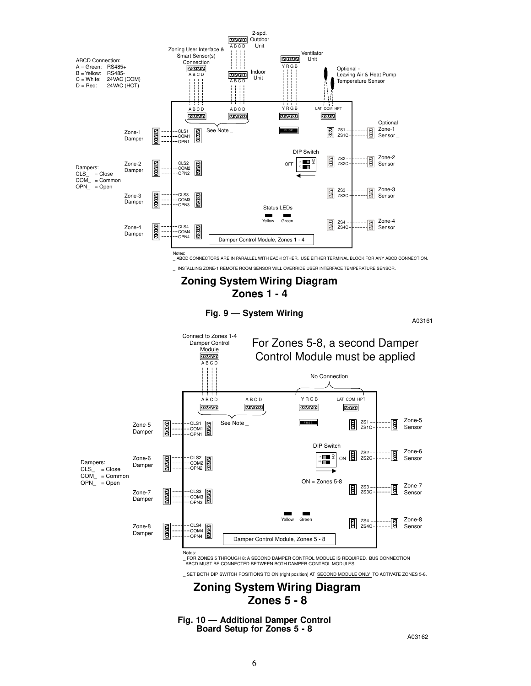



A03162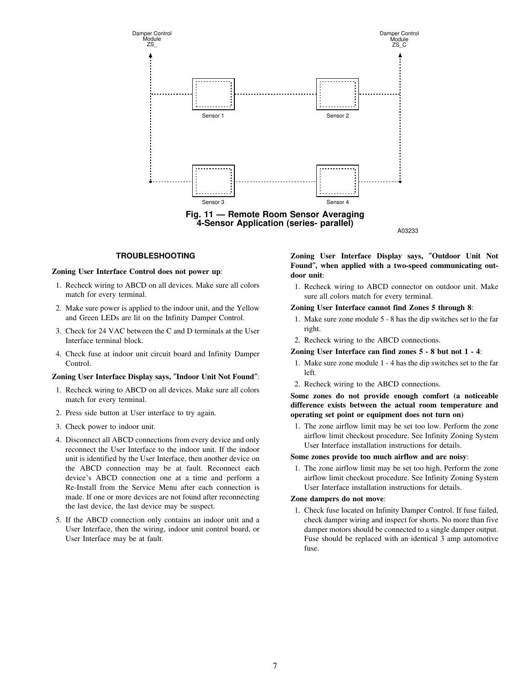

**4-Sensor Application (series- parallel)**

A03233

# **TROUBLESHOOTING**

#### **Zoning User Interface Control does not power up**:

- 1. Recheck wiring to ABCD on all devices. Make sure all colors match for every terminal.
- 2. Make sure power is applied to the indoor unit, and the Yellow and Green LEDs are lit on the Infinity Damper Control.
- 3. Check for 24 VAC between the C and D terminals at the User Interface terminal block.
- 4. Check fuse at indoor unit circuit board and Infinity Damper Control.

#### **Zoning User Interface Display says,** ″**Indoor Unit Not Found**″:

- 1. Recheck wiring to ABCD on all devices. Make sure all colors match for every terminal.
- 2. Press side button at User interface to try again.
- 3. Check power to indoor unit.
- 4. Disconnect all ABCD connections from every device and only reconnect the User Interface to the indoor unit. If the indoor unit is identified by the User Interface, then another device on the ABCD connection may be at fault. Reconnect each device's ABCD connection one at a time and perform a Re-Install from the Service Menu after each connection is made. If one or more devices are not found after reconnecting the last device, the last device may be suspect.
- 5. If the ABCD connection only contains an indoor unit and a User Interface, then the wiring, indoor unit control board, or User Interface may be at fault.

**Zoning User Interface Display says,** ″**Outdoor Unit Not Found**″**, when applied with a two-speed communicating outdoor unit**:

1. Recheck wiring to ABCD connector on outdoor unit. Make sure all colors match for every terminal.

#### **Zoning User Interface cannot find Zones 5 through 8**:

- 1. Make sure zone module 5 8 has the dip switches set to the far right.
- 2. Recheck wiring to the ABCD connections.

#### **Zoning User Interface can find zones 5 - 8 but not 1 - 4**:

- 1. Make sure zone module 1 4 has the dip switches set to the far left.
- 2. Recheck wiring to the ABCD connections.

**Some zones do not provide enough comfort (a noticeable difference exists between the actual room temperature and operating set point or equipment does not turn on)**

1. The zone airflow limit may be set too low. Perform the zone airflow limit checkout procedure. See Infinity Zoning System User Interface installation instructions for details.

#### **Some zones provide too much airflow and are noisy**:

1. The zone airflow limit may be set too high. Perform the zone airflow limit checkout procedure. See Infinity Zoning System User Interface installation instructions for details.

#### **Zone dampers do not move**:

1. Check fuse located on Infinity Damper Control. If fuse failed, check damper wiring and inspect for shorts. No more than five damper motors should be connected to a single damper output. Fuse should be replaced with an identical 3 amp automotive fuse.